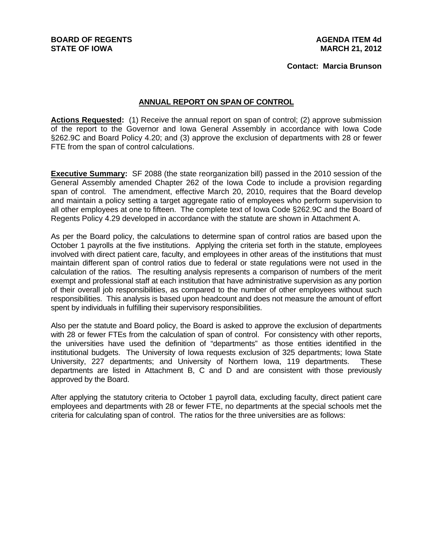**Contact: Marcia Brunson**

#### **ANNUAL REPORT ON SPAN OF CONTROL**

**Actions Requested:** (1) Receive the annual report on span of control; (2) approve submission of the report to the Governor and Iowa General Assembly in accordance with Iowa Code §262.9C and Board Policy 4.20; and (3) approve the exclusion of departments with 28 or fewer FTE from the span of control calculations.

**Executive Summary:** SF 2088 (the state reorganization bill) passed in the 2010 session of the General Assembly amended Chapter 262 of the Iowa Code to include a provision regarding span of control. The amendment, effective March 20, 2010, requires that the Board develop and maintain a policy setting a target aggregate ratio of employees who perform supervision to all other employees at one to fifteen. The complete text of Iowa Code §262.9C and the Board of Regents Policy 4.29 developed in accordance with the statute are shown in Attachment A.

As per the Board policy, the calculations to determine span of control ratios are based upon the October 1 payrolls at the five institutions. Applying the criteria set forth in the statute, employees involved with direct patient care, faculty, and employees in other areas of the institutions that must maintain different span of control ratios due to federal or state regulations were not used in the calculation of the ratios. The resulting analysis represents a comparison of numbers of the merit exempt and professional staff at each institution that have administrative supervision as any portion of their overall job responsibilities, as compared to the number of other employees without such responsibilities. This analysis is based upon headcount and does not measure the amount of effort spent by individuals in fulfilling their supervisory responsibilities.

Also per the statute and Board policy, the Board is asked to approve the exclusion of departments with 28 or fewer FTEs from the calculation of span of control. For consistency with other reports, the universities have used the definition of "departments" as those entities identified in the institutional budgets. The University of Iowa requests exclusion of 325 departments; Iowa State University, 227 departments; and University of Northern Iowa, 119 departments. These departments are listed in Attachment B, C and D and are consistent with those previously approved by the Board.

After applying the statutory criteria to October 1 payroll data, excluding faculty, direct patient care employees and departments with 28 or fewer FTE, no departments at the special schools met the criteria for calculating span of control. The ratios for the three universities are as follows: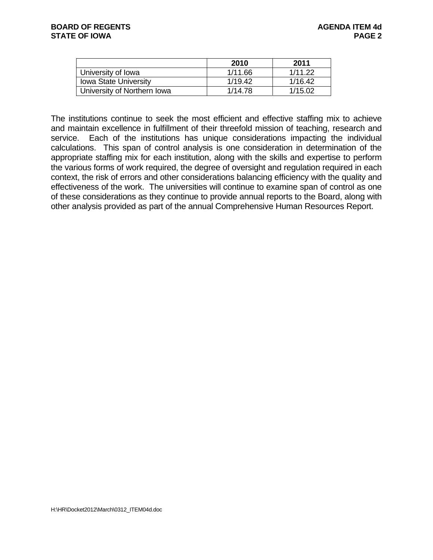|                              | 2010    | 2011    |
|------------------------------|---------|---------|
| University of Iowa           | 1/11.66 | 1/11.22 |
| <b>Iowa State University</b> | 1/19.42 | 1/16.42 |
| University of Northern Iowa  | 1/14.78 | 1/15.02 |

The institutions continue to seek the most efficient and effective staffing mix to achieve and maintain excellence in fulfillment of their threefold mission of teaching, research and service. Each of the institutions has unique considerations impacting the individual calculations. This span of control analysis is one consideration in determination of the appropriate staffing mix for each institution, along with the skills and expertise to perform the various forms of work required, the degree of oversight and regulation required in each context, the risk of errors and other considerations balancing efficiency with the quality and effectiveness of the work. The universities will continue to examine span of control as one of these considerations as they continue to provide annual reports to the Board, along with other analysis provided as part of the annual Comprehensive Human Resources Report.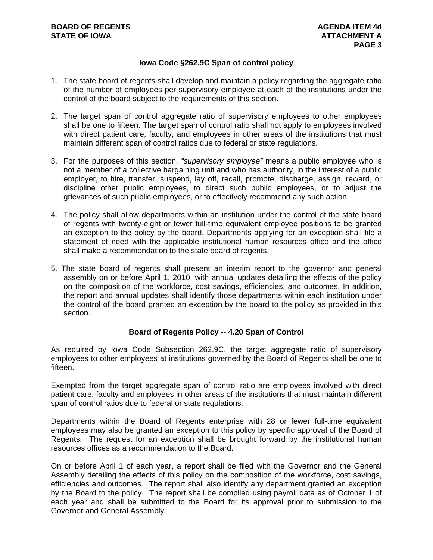#### **Iowa Code §262.9C Span of control policy**

- 1. The state board of regents shall develop and maintain a policy regarding the aggregate ratio of the number of employees per supervisory employee at each of the institutions under the control of the board subject to the requirements of this section.
- 2. The target span of control aggregate ratio of supervisory employees to other employees shall be one to fifteen. The target span of control ratio shall not apply to employees involved with direct patient care, faculty, and employees in other areas of the institutions that must maintain different span of control ratios due to federal or state regulations.
- 3. For the purposes of this section, *"supervisory employee"* means a public employee who is not a member of a collective bargaining unit and who has authority, in the interest of a public employer, to hire, transfer, suspend, lay off, recall, promote, discharge, assign, reward, or discipline other public employees, to direct such public employees, or to adjust the grievances of such public employees, or to effectively recommend any such action.
- 4. The policy shall allow departments within an institution under the control of the state board of regents with twenty-eight or fewer full-time equivalent employee positions to be granted an exception to the policy by the board. Departments applying for an exception shall file a statement of need with the applicable institutional human resources office and the office shall make a recommendation to the state board of regents.
- 5. The state board of regents shall present an interim report to the governor and general assembly on or before April 1, 2010, with annual updates detailing the effects of the policy on the composition of the workforce, cost savings, efficiencies, and outcomes. In addition, the report and annual updates shall identify those departments within each institution under the control of the board granted an exception by the board to the policy as provided in this section.

#### **Board of Regents Policy -- 4.20 Span of Control**

As required by Iowa Code Subsection 262.9C, the target aggregate ratio of supervisory employees to other employees at institutions governed by the Board of Regents shall be one to fifteen.

Exempted from the target aggregate span of control ratio are employees involved with direct patient care, faculty and employees in other areas of the institutions that must maintain different span of control ratios due to federal or state regulations.

Departments within the Board of Regents enterprise with 28 or fewer full-time equivalent employees may also be granted an exception to this policy by specific approval of the Board of Regents. The request for an exception shall be brought forward by the institutional human resources offices as a recommendation to the Board.

On or before April 1 of each year, a report shall be filed with the Governor and the General Assembly detailing the effects of this policy on the composition of the workforce, cost savings, efficiencies and outcomes. The report shall also identify any department granted an exception by the Board to the policy. The report shall be compiled using payroll data as of October 1 of each year and shall be submitted to the Board for its approval prior to submission to the Governor and General Assembly.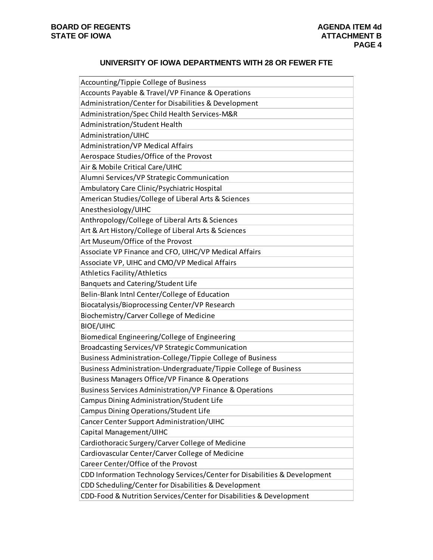#### **UNIVERSITY OF IOWA DEPARTMENTS WITH 28 OR FEWER FTE**

| Accounting/Tippie College of Business                                     |
|---------------------------------------------------------------------------|
| Accounts Payable & Travel/VP Finance & Operations                         |
| Administration/Center for Disabilities & Development                      |
| Administration/Spec Child Health Services-M&R                             |
| Administration/Student Health                                             |
| Administration/UIHC                                                       |
| <b>Administration/VP Medical Affairs</b>                                  |
| Aerospace Studies/Office of the Provost                                   |
| Air & Mobile Critical Care/UIHC                                           |
| Alumni Services/VP Strategic Communication                                |
| Ambulatory Care Clinic/Psychiatric Hospital                               |
| American Studies/College of Liberal Arts & Sciences                       |
| Anesthesiology/UIHC                                                       |
| Anthropology/College of Liberal Arts & Sciences                           |
| Art & Art History/College of Liberal Arts & Sciences                      |
| Art Museum/Office of the Provost                                          |
| Associate VP Finance and CFO, UIHC/VP Medical Affairs                     |
| Associate VP, UIHC and CMO/VP Medical Affairs                             |
| <b>Athletics Facility/Athletics</b>                                       |
| Banquets and Catering/Student Life                                        |
| Belin-Blank Intnl Center/College of Education                             |
| Biocatalysis/Bioprocessing Center/VP Research                             |
| Biochemistry/Carver College of Medicine                                   |
| <b>BIOE/UIHC</b>                                                          |
| Biomedical Engineering/College of Engineering                             |
| Broadcasting Services/VP Strategic Communication                          |
| Business Administration-College/Tippie College of Business                |
| Business Administration-Undergraduate/Tippie College of Business          |
| Business Managers Office/VP Finance & Operations                          |
| <b>Business Services Administration/VP Finance &amp; Operations</b>       |
| Campus Dining Administration/Student Life                                 |
| <b>Campus Dining Operations/Student Life</b>                              |
| Cancer Center Support Administration/UIHC                                 |
| Capital Management/UIHC                                                   |
| Cardiothoracic Surgery/Carver College of Medicine                         |
| Cardiovascular Center/Carver College of Medicine                          |
| Career Center/Office of the Provost                                       |
| CDD Information Technology Services/Center for Disabilities & Development |
| CDD Scheduling/Center for Disabilities & Development                      |
| CDD-Food & Nutrition Services/Center for Disabilities & Development       |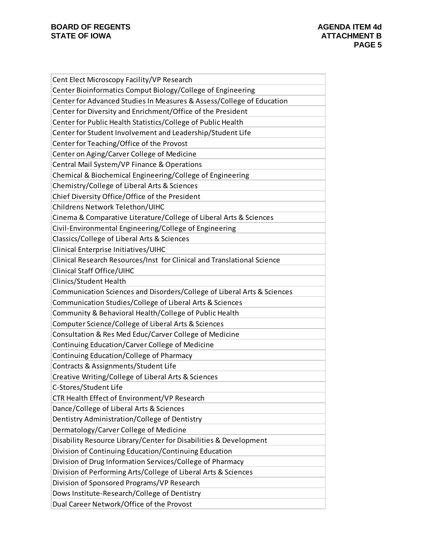| Cent Elect Microscopy Facility/VP Research                              |
|-------------------------------------------------------------------------|
| Center Bioinformatics Comput Biology/College of Engineering             |
| Center for Advanced Studies In Measures & Assess/College of Education   |
| Center for Diversity and Enrichment/Office of the President             |
| Center for Public Health Statistics/College of Public Health            |
| Center for Student Involvement and Leadership/Student Life              |
| Center for Teaching/Office of the Provost                               |
| Center on Aging/Carver College of Medicine                              |
| Central Mail System/VP Finance & Operations                             |
| Chemical & Biochemical Engineering/College of Engineering               |
| Chemistry/College of Liberal Arts & Sciences                            |
| Chief Diversity Office/Office of the President                          |
| Childrens Network Telethon/UIHC                                         |
| Cinema & Comparative Literature/College of Liberal Arts & Sciences      |
| Civil-Environmental Engineering/College of Engineering                  |
| Classics/College of Liberal Arts & Sciences                             |
| Clinical Enterprise Initiatives/UIHC                                    |
| Clinical Research Resources/Inst for Clinical and Translational Science |
| Clinical Staff Office/UIHC                                              |
| Clinics/Student Health                                                  |
| Communication Sciences and Disorders/College of Liberal Arts & Sciences |
| Communication Studies/College of Liberal Arts & Sciences                |
| Community & Behavioral Health/College of Public Health                  |
| Computer Science/College of Liberal Arts & Sciences                     |
| Consultation & Res Med Educ/Carver College of Medicine                  |
| Continuing Education/Carver College of Medicine                         |
| Continuing Education/College of Pharmacy                                |
| Contracts & Assignments/Student Life                                    |
| Creative Writing/College of Liberal Arts & Sciences                     |
| C-Stores/Student Life                                                   |
| CTR Health Effect of Environment/VP Research                            |
| Dance/College of Liberal Arts & Sciences                                |
| Dentistry Administration/College of Dentistry                           |
| Dermatology/Carver College of Medicine                                  |
| Disability Resource Library/Center for Disabilities & Development       |
| Division of Continuing Education/Continuing Education                   |
| Division of Drug Information Services/College of Pharmacy               |
| Division of Performing Arts/College of Liberal Arts & Sciences          |
| Division of Sponsored Programs/VP Research                              |
| Dows Institute-Research/College of Dentistry                            |
| Dual Career Network/Office of the Provost                               |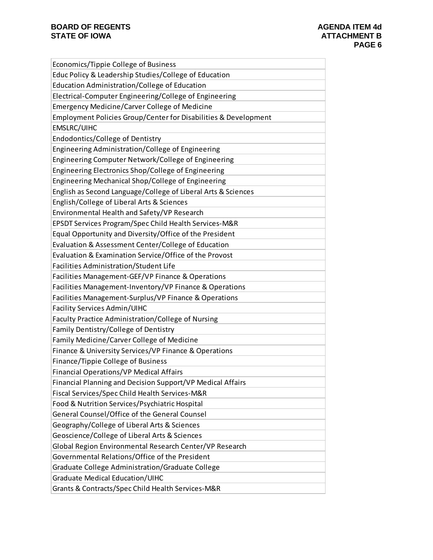| Economics/Tippie College of Business                            |
|-----------------------------------------------------------------|
| Educ Policy & Leadership Studies/College of Education           |
| Education Administration/College of Education                   |
| Electrical-Computer Engineering/College of Engineering          |
| <b>Emergency Medicine/Carver College of Medicine</b>            |
| Employment Policies Group/Center for Disabilities & Development |
| EMSLRC/UIHC                                                     |
| Endodontics/College of Dentistry                                |
| Engineering Administration/College of Engineering               |
| Engineering Computer Network/College of Engineering             |
| Engineering Electronics Shop/College of Engineering             |
| Engineering Mechanical Shop/College of Engineering              |
| English as Second Language/College of Liberal Arts & Sciences   |
| English/College of Liberal Arts & Sciences                      |
| Environmental Health and Safety/VP Research                     |
| EPSDT Services Program/Spec Child Health Services-M&R           |
| Equal Opportunity and Diversity/Office of the President         |
| Evaluation & Assessment Center/College of Education             |
| Evaluation & Examination Service/Office of the Provost          |
| Facilities Administration/Student Life                          |
| Facilities Management-GEF/VP Finance & Operations               |
| Facilities Management-Inventory/VP Finance & Operations         |
| Facilities Management-Surplus/VP Finance & Operations           |
| Facility Services Admin/UIHC                                    |
| Faculty Practice Administration/College of Nursing              |
| Family Dentistry/College of Dentistry                           |
| Family Medicine/Carver College of Medicine                      |
| Finance & University Services/VP Finance & Operations           |
| Finance/Tippie College of Business                              |
| <b>Financial Operations/VP Medical Affairs</b>                  |
| Financial Planning and Decision Support/VP Medical Affairs      |
| Fiscal Services/Spec Child Health Services-M&R                  |
| Food & Nutrition Services/Psychiatric Hospital                  |
| General Counsel/Office of the General Counsel                   |
| Geography/College of Liberal Arts & Sciences                    |
| Geoscience/College of Liberal Arts & Sciences                   |
| Global Region Environmental Research Center/VP Research         |
| Governmental Relations/Office of the President                  |
| Graduate College Administration/Graduate College                |
| <b>Graduate Medical Education/UIHC</b>                          |
| Grants & Contracts/Spec Child Health Services-M&R               |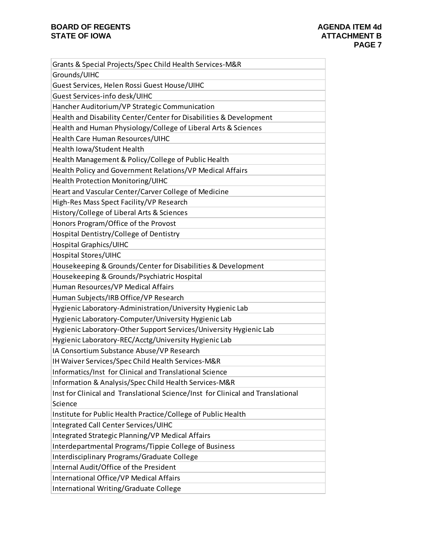| Grants & Special Projects/Spec Child Health Services-M&R                        |
|---------------------------------------------------------------------------------|
| Grounds/UIHC                                                                    |
| Guest Services, Helen Rossi Guest House/UIHC                                    |
| Guest Services-info desk/UIHC                                                   |
| Hancher Auditorium/VP Strategic Communication                                   |
| Health and Disability Center/Center for Disabilities & Development              |
| Health and Human Physiology/College of Liberal Arts & Sciences                  |
| Health Care Human Resources/UIHC                                                |
| Health Iowa/Student Health                                                      |
| Health Management & Policy/College of Public Health                             |
| Health Policy and Government Relations/VP Medical Affairs                       |
| Health Protection Monitoring/UIHC                                               |
| Heart and Vascular Center/Carver College of Medicine                            |
| High-Res Mass Spect Facility/VP Research                                        |
| History/College of Liberal Arts & Sciences                                      |
| Honors Program/Office of the Provost                                            |
| Hospital Dentistry/College of Dentistry                                         |
| Hospital Graphics/UIHC                                                          |
| Hospital Stores/UIHC                                                            |
| Housekeeping & Grounds/Center for Disabilities & Development                    |
| Housekeeping & Grounds/Psychiatric Hospital                                     |
| Human Resources/VP Medical Affairs                                              |
| Human Subjects/IRB Office/VP Research                                           |
| Hygienic Laboratory-Administration/University Hygienic Lab                      |
| Hygienic Laboratory-Computer/University Hygienic Lab                            |
| Hygienic Laboratory-Other Support Services/University Hygienic Lab              |
| Hygienic Laboratory-REC/Acctg/University Hygienic Lab                           |
| IA Consortium Substance Abuse/VP Research                                       |
| IH Waiver Services/Spec Child Health Services-M&R                               |
| Informatics/Inst for Clinical and Translational Science                         |
| Information & Analysis/Spec Child Health Services-M&R                           |
| Inst for Clinical and Translational Science/Inst for Clinical and Translational |
| Science                                                                         |
| Institute for Public Health Practice/College of Public Health                   |
| Integrated Call Center Services/UIHC                                            |
| Integrated Strategic Planning/VP Medical Affairs                                |
| Interdepartmental Programs/Tippie College of Business                           |
| Interdisciplinary Programs/Graduate College                                     |
| Internal Audit/Office of the President                                          |
| International Office/VP Medical Affairs                                         |
| International Writing/Graduate College                                          |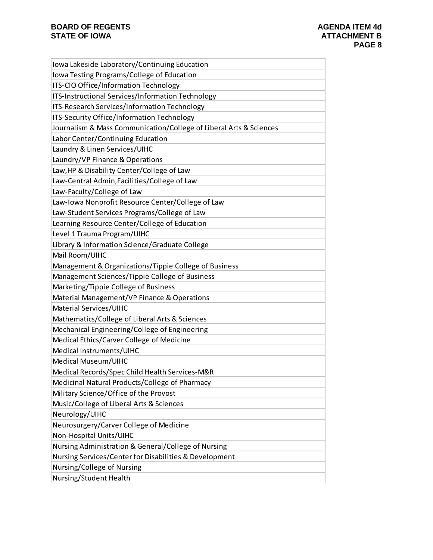| Iowa Lakeside Laboratory/Continuing Education                      |
|--------------------------------------------------------------------|
| Iowa Testing Programs/College of Education                         |
| ITS-CIO Office/Information Technology                              |
| ITS-Instructional Services/Information Technology                  |
| ITS-Research Services/Information Technology                       |
| ITS-Security Office/Information Technology                         |
| Journalism & Mass Communication/College of Liberal Arts & Sciences |
| Labor Center/Continuing Education                                  |
| Laundry & Linen Services/UIHC                                      |
| Laundry/VP Finance & Operations                                    |
| Law, HP & Disability Center/College of Law                         |
| Law-Central Admin, Facilities/College of Law                       |
| Law-Faculty/College of Law                                         |
| Law-Iowa Nonprofit Resource Center/College of Law                  |
| Law-Student Services Programs/College of Law                       |
| Learning Resource Center/College of Education                      |
| Level 1 Trauma Program/UIHC                                        |
| Library & Information Science/Graduate College                     |
| Mail Room/UIHC                                                     |
| Management & Organizations/Tippie College of Business              |
| Management Sciences/Tippie College of Business                     |
| Marketing/Tippie College of Business                               |
| Material Management/VP Finance & Operations                        |
| Material Services/UIHC                                             |
| Mathematics/College of Liberal Arts & Sciences                     |
| Mechanical Engineering/College of Engineering                      |
| Medical Ethics/Carver College of Medicine                          |
| Medical Instruments/UIHC                                           |
| Medical Museum/UIHC                                                |
| Medical Records/Spec Child Health Services-M&R                     |
| Medicinal Natural Products/College of Pharmacy                     |
| Military Science/Office of the Provost                             |
| Music/College of Liberal Arts & Sciences                           |
| Neurology/UIHC                                                     |
| Neurosurgery/Carver College of Medicine                            |
| Non-Hospital Units/UIHC                                            |
| Nursing Administration & General/College of Nursing                |
| Nursing Services/Center for Disabilities & Development             |
| Nursing/College of Nursing                                         |
| Nursing/Student Health                                             |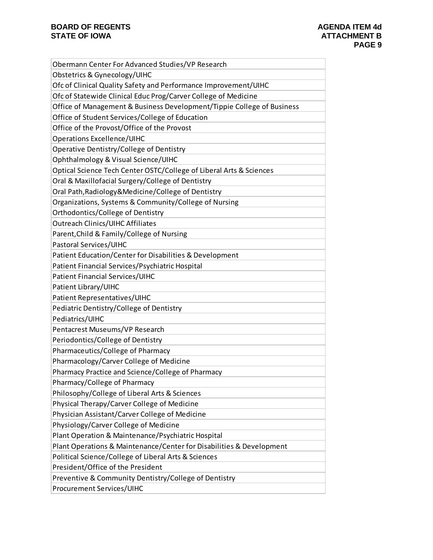| Obermann Center For Advanced Studies/VP Research                       |
|------------------------------------------------------------------------|
| Obstetrics & Gynecology/UIHC                                           |
| Ofc of Clinical Quality Safety and Performance Improvement/UIHC        |
| Ofc of Statewide Clinical Educ Prog/Carver College of Medicine         |
| Office of Management & Business Development/Tippie College of Business |
| Office of Student Services/College of Education                        |
| Office of the Provost/Office of the Provost                            |
| <b>Operations Excellence/UIHC</b>                                      |
| Operative Dentistry/College of Dentistry                               |
| Ophthalmology & Visual Science/UIHC                                    |
| Optical Science Tech Center OSTC/College of Liberal Arts & Sciences    |
| Oral & Maxillofacial Surgery/College of Dentistry                      |
| Oral Path, Radiology & Medicine/College of Dentistry                   |
| Organizations, Systems & Community/College of Nursing                  |
| Orthodontics/College of Dentistry                                      |
| <b>Outreach Clinics/UIHC Affiliates</b>                                |
| Parent, Child & Family/College of Nursing                              |
| Pastoral Services/UIHC                                                 |
| Patient Education/Center for Disabilities & Development                |
| Patient Financial Services/Psychiatric Hospital                        |
| Patient Financial Services/UIHC                                        |
| Patient Library/UIHC                                                   |
| Patient Representatives/UIHC                                           |
| Pediatric Dentistry/College of Dentistry                               |
| Pediatrics/UIHC                                                        |
| Pentacrest Museums/VP Research                                         |
| Periodontics/College of Dentistry                                      |
| Pharmaceutics/College of Pharmacy                                      |
| Pharmacology/Carver College of Medicine                                |
| Pharmacy Practice and Science/College of Pharmacy                      |
| Pharmacy/College of Pharmacy                                           |
| Philosophy/College of Liberal Arts & Sciences                          |
| Physical Therapy/Carver College of Medicine                            |
| Physician Assistant/Carver College of Medicine                         |
| Physiology/Carver College of Medicine                                  |
| Plant Operation & Maintenance/Psychiatric Hospital                     |
| Plant Operations & Maintenance/Center for Disabilities & Development   |
| Political Science/College of Liberal Arts & Sciences                   |
| President/Office of the President                                      |
| Preventive & Community Dentistry/College of Dentistry                  |
| Procurement Services/UIHC                                              |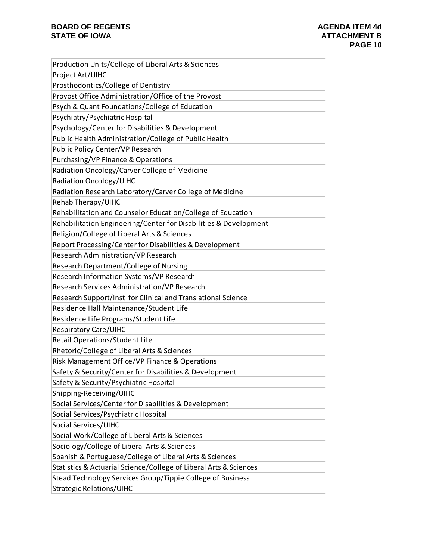| Production Units/College of Liberal Arts & Sciences               |
|-------------------------------------------------------------------|
| Project Art/UIHC                                                  |
| Prosthodontics/College of Dentistry                               |
| Provost Office Administration/Office of the Provost               |
| Psych & Quant Foundations/College of Education                    |
| Psychiatry/Psychiatric Hospital                                   |
| Psychology/Center for Disabilities & Development                  |
| Public Health Administration/College of Public Health             |
| Public Policy Center/VP Research                                  |
| Purchasing/VP Finance & Operations                                |
| Radiation Oncology/Carver College of Medicine                     |
| Radiation Oncology/UIHC                                           |
| Radiation Research Laboratory/Carver College of Medicine          |
| Rehab Therapy/UIHC                                                |
| Rehabilitation and Counselor Education/College of Education       |
| Rehabilitation Engineering/Center for Disabilities & Development  |
| Religion/College of Liberal Arts & Sciences                       |
| Report Processing/Center for Disabilities & Development           |
| Research Administration/VP Research                               |
| Research Department/College of Nursing                            |
| Research Information Systems/VP Research                          |
| Research Services Administration/VP Research                      |
| Research Support/Inst for Clinical and Translational Science      |
| Residence Hall Maintenance/Student Life                           |
| Residence Life Programs/Student Life                              |
| <b>Respiratory Care/UIHC</b>                                      |
| Retail Operations/Student Life                                    |
| Rhetoric/College of Liberal Arts & Sciences                       |
| Risk Management Office/VP Finance & Operations                    |
| Safety & Security/Center for Disabilities & Development           |
| Safety & Security/Psychiatric Hospital                            |
| Shipping-Receiving/UIHC                                           |
| Social Services/Center for Disabilities & Development             |
| Social Services/Psychiatric Hospital                              |
| Social Services/UIHC                                              |
| Social Work/College of Liberal Arts & Sciences                    |
| Sociology/College of Liberal Arts & Sciences                      |
| Spanish & Portuguese/College of Liberal Arts & Sciences           |
| Statistics & Actuarial Science/College of Liberal Arts & Sciences |
| Stead Technology Services Group/Tippie College of Business        |
| <b>Strategic Relations/UIHC</b>                                   |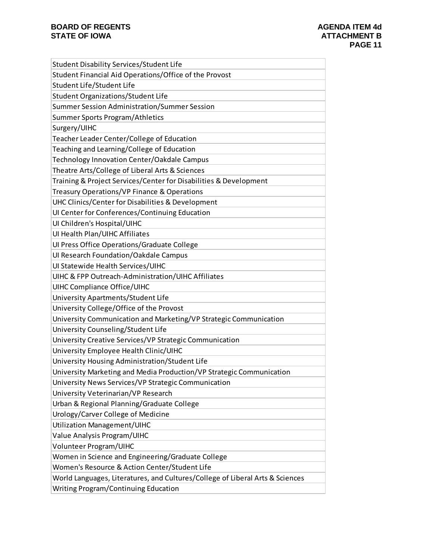| Student Disability Services/Student Life                                      |
|-------------------------------------------------------------------------------|
| Student Financial Aid Operations/Office of the Provost                        |
| Student Life/Student Life                                                     |
| Student Organizations/Student Life                                            |
| Summer Session Administration/Summer Session                                  |
| Summer Sports Program/Athletics                                               |
| Surgery/UIHC                                                                  |
| Teacher Leader Center/College of Education                                    |
| Teaching and Learning/College of Education                                    |
| Technology Innovation Center/Oakdale Campus                                   |
| Theatre Arts/College of Liberal Arts & Sciences                               |
| Training & Project Services/Center for Disabilities & Development             |
| Treasury Operations/VP Finance & Operations                                   |
| UHC Clinics/Center for Disabilities & Development                             |
| UI Center for Conferences/Continuing Education                                |
| UI Children's Hospital/UIHC                                                   |
| UI Health Plan/UIHC Affiliates                                                |
| Ul Press Office Operations/Graduate College                                   |
| Ul Research Foundation/Oakdale Campus                                         |
| UI Statewide Health Services/UIHC                                             |
| UIHC & FPP Outreach-Administration/UIHC Affiliates                            |
| UIHC Compliance Office/UIHC                                                   |
| University Apartments/Student Life                                            |
| University College/Office of the Provost                                      |
| University Communication and Marketing/VP Strategic Communication             |
| University Counseling/Student Life                                            |
| University Creative Services/VP Strategic Communication                       |
| University Employee Health Clinic/UIHC                                        |
| University Housing Administration/Student Life                                |
| University Marketing and Media Production/VP Strategic Communication          |
| University News Services/VP Strategic Communication                           |
| University Veterinarian/VP Research                                           |
| Urban & Regional Planning/Graduate College                                    |
| Urology/Carver College of Medicine                                            |
| Utilization Management/UIHC                                                   |
| Value Analysis Program/UIHC                                                   |
| Volunteer Program/UIHC                                                        |
| Women in Science and Engineering/Graduate College                             |
| Women's Resource & Action Center/Student Life                                 |
| World Languages, Literatures, and Cultures/College of Liberal Arts & Sciences |
| Writing Program/Continuing Education                                          |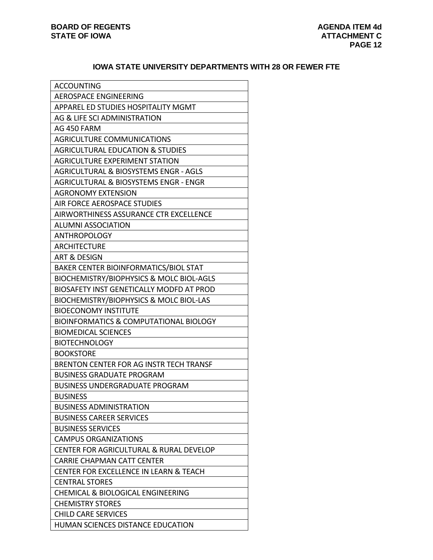### **IOWA STATE UNIVERSITY DEPARTMENTS WITH 28 OR FEWER FTE**

| <b>ACCOUNTING</b>                                 |
|---------------------------------------------------|
| AEROSPACE ENGINEERING                             |
| APPAREL ED STUDIES HOSPITALITY MGMT               |
| AG & LIFE SCI ADMINISTRATION                      |
| AG 450 FARM                                       |
| <b>AGRICULTURE COMMUNICATIONS</b>                 |
| <b>AGRICULTURAL EDUCATION &amp; STUDIES</b>       |
| <b>AGRICULTURE EXPERIMENT STATION</b>             |
| AGRICULTURAL & BIOSYSTEMS ENGR - AGLS             |
| AGRICULTURAL & BIOSYSTEMS ENGR - ENGR             |
| <b>AGRONOMY EXTENSION</b>                         |
| AIR FORCE AEROSPACE STUDIES                       |
| AIRWORTHINESS ASSURANCE CTR EXCELLENCE            |
| <b>ALUMNI ASSOCIATION</b>                         |
| <b>ANTHROPOLOGY</b>                               |
| <b>ARCHITECTURE</b>                               |
| ART & DESIGN                                      |
| <b>BAKER CENTER BIOINFORMATICS/BIOL STAT</b>      |
| BIOCHEMISTRY/BIOPHYSICS & MOLC BIOL-AGLS          |
| BIOSAFETY INST GENETICALLY MODFD AT PROD          |
| BIOCHEMISTRY/BIOPHYSICS & MOLC BIOL-LAS           |
| <b>BIOECONOMY INSTITUTE</b>                       |
| <b>BIOINFORMATICS &amp; COMPUTATIONAL BIOLOGY</b> |
| <b>BIOMEDICAL SCIENCES</b>                        |
| <b>BIOTECHNOLOGY</b>                              |
| <b>BOOKSTORE</b>                                  |
| BRENTON CENTER FOR AG INSTR TECH TRANSF           |
| <b>BUSINESS GRADUATE PROGRAM</b>                  |
| <b>BUSINESS UNDERGRADUATE PROGRAM</b>             |
| <b>BUSINESS</b>                                   |
| <b>BUSINESS ADMINISTRATION</b>                    |
| <b>BUSINESS CAREER SERVICES</b>                   |
| <b>BUSINESS SERVICES</b>                          |
| <b>CAMPUS ORGANIZATIONS</b>                       |
| CENTER FOR AGRICULTURAL & RURAL DEVELOP           |
| <b>CARRIE CHAPMAN CATT CENTER</b>                 |
| <b>CENTER FOR EXCELLENCE IN LEARN &amp; TEACH</b> |
| <b>CENTRAL STORES</b>                             |
| <b>CHEMICAL &amp; BIOLOGICAL ENGINEERING</b>      |
| <b>CHEMISTRY STORES</b>                           |
| <b>CHILD CARE SERVICES</b>                        |
| HUMAN SCIENCES DISTANCE EDUCATION                 |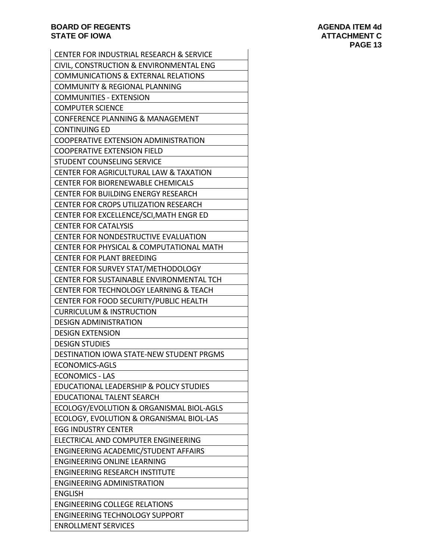| <b>CENTER FOR INDUSTRIAL RESEARCH &amp; SERVICE</b> |
|-----------------------------------------------------|
| CIVIL, CONSTRUCTION & ENVIRONMENTAL ENG             |
| <b>COMMUNICATIONS &amp; EXTERNAL RELATIONS</b>      |
| <b>COMMUNITY &amp; REGIONAL PLANNING</b>            |
| <b>COMMUNITIES - EXTENSION</b>                      |
| <b>COMPUTER SCIENCE</b>                             |
| CONFERENCE PLANNING & MANAGEMENT                    |
| <b>CONTINUING ED</b>                                |
| COOPERATIVE EXTENSION ADMINISTRATION                |
| <b>COOPERATIVE EXTENSION FIELD</b>                  |
| <b>STUDENT COUNSELING SERVICE</b>                   |
| CENTER FOR AGRICULTURAL LAW & TAXATION              |
| <b>CENTER FOR BIORENEWABLE CHEMICALS</b>            |
| <b>CENTER FOR BUILDING ENERGY RESEARCH</b>          |
| <b>CENTER FOR CROPS UTILIZATION RESEARCH</b>        |
| CENTER FOR EXCELLENCE/SCI, MATH ENGR ED             |
| <b>CENTER FOR CATALYSIS</b>                         |
| CENTER FOR NONDESTRUCTIVE EVALUATION                |
| <b>CENTER FOR PHYSICAL &amp; COMPUTATIONAL MATH</b> |
| <b>CENTER FOR PLANT BREEDING</b>                    |
| CENTER FOR SURVEY STAT/METHODOLOGY                  |
| CENTER FOR SUSTAINABLE ENVIRONMENTAL TCH            |
| CENTER FOR TECHNOLOGY LEARNING & TEACH              |
| CENTER FOR FOOD SECURITY/PUBLIC HEALTH              |
| <b>CURRICULUM &amp; INSTRUCTION</b>                 |
| <b>DESIGN ADMINISTRATION</b>                        |
| <b>DESIGN EXTENSION</b>                             |
| <b>DESIGN STUDIES</b>                               |
| DESTINATION IOWA STATE-NEW STUDENT PRGMS            |
| ECONOMICS-AGLS                                      |
| <b>ECONOMICS - LAS</b>                              |
| EDUCATIONAL LEADERSHIP & POLICY STUDIES             |
| <b>EDUCATIONAL TALENT SEARCH</b>                    |
| ECOLOGY/EVOLUTION & ORGANISMAL BIOL-AGLS            |
| ECOLOGY, EVOLUTION & ORGANISMAL BIOL-LAS            |
| <b>EGG INDUSTRY CENTER</b>                          |
| ELECTRICAL AND COMPUTER ENGINEERING                 |
| ENGINEERING ACADEMIC/STUDENT AFFAIRS                |
| <b>ENGINEERING ONLINE LEARNING</b>                  |
| <b>ENGINEERING RESEARCH INSTITUTE</b>               |
| <b>ENGINEERING ADMINISTRATION</b>                   |
| <b>ENGLISH</b>                                      |
| <b>ENGINEERING COLLEGE RELATIONS</b>                |
| <b>ENGINEERING TECHNOLOGY SUPPORT</b>               |
| <b>ENROLLMENT SERVICES</b>                          |
|                                                     |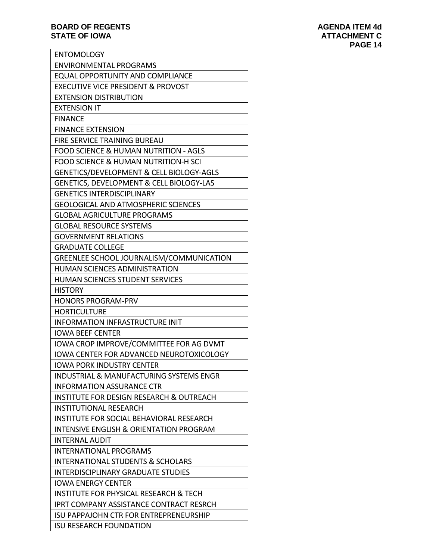| <b>ENTOMOLOGY</b>                                   |
|-----------------------------------------------------|
| <b>ENVIRONMENTAL PROGRAMS</b>                       |
| <b>EQUAL OPPORTUNITY AND COMPLIANCE</b>             |
| <b>EXECUTIVE VICE PRESIDENT &amp; PROVOST</b>       |
| <b>EXTENSION DISTRIBUTION</b>                       |
| <b>EXTENSION IT</b>                                 |
| <b>FINANCE</b>                                      |
| <b>FINANCE EXTENSION</b>                            |
| <b>FIRE SERVICE TRAINING BUREAU</b>                 |
| <b>FOOD SCIENCE &amp; HUMAN NUTRITION - AGLS</b>    |
| <b>FOOD SCIENCE &amp; HUMAN NUTRITION-H SCI</b>     |
| GENETICS/DEVELOPMENT & CELL BIOLOGY-AGLS            |
| GENETICS, DEVELOPMENT & CELL BIOLOGY-LAS            |
| <b>GENETICS INTERDISCIPLINARY</b>                   |
| <b>GEOLOGICAL AND ATMOSPHERIC SCIENCES</b>          |
| <b>GLOBAL AGRICULTURE PROGRAMS</b>                  |
| <b>GLOBAL RESOURCE SYSTEMS</b>                      |
| <b>GOVERNMENT RELATIONS</b>                         |
| <b>GRADUATE COLLEGE</b>                             |
| GREENLEE SCHOOL JOURNALISM/COMMUNICATION            |
| HUMAN SCIENCES ADMINISTRATION                       |
| HUMAN SCIENCES STUDENT SERVICES                     |
| <b>HISTORY</b>                                      |
| <b>HONORS PROGRAM-PRV</b>                           |
|                                                     |
| <b>HORTICULTURE</b>                                 |
| INFORMATION INFRASTRUCTURE INIT                     |
| <b>IOWA BEEF CENTER</b>                             |
| IOWA CROP IMPROVE/COMMITTEE FOR AG DVMT             |
| IOWA CENTER FOR ADVANCED NEUROTOXICOLOGY            |
| <b>IOWA PORK INDUSTRY CENTER</b>                    |
| <b>INDUSTRIAL &amp; MANUFACTURING SYSTEMS ENGR</b>  |
| <b>INFORMATION ASSURANCE CTR</b>                    |
| <b>INSTITUTE FOR DESIGN RESEARCH &amp; OUTREACH</b> |
| <b>INSTITUTIONAL RESEARCH</b>                       |
| INSTITUTE FOR SOCIAL BEHAVIORAL RESEARCH            |
| <b>INTENSIVE ENGLISH &amp; ORIENTATION PROGRAM</b>  |
| <b>INTERNAL AUDIT</b>                               |
| <b>INTERNATIONAL PROGRAMS</b>                       |
| <b>INTERNATIONAL STUDENTS &amp; SCHOLARS</b>        |
| <b>INTERDISCIPLINARY GRADUATE STUDIES</b>           |
| <b>IOWA ENERGY CENTER</b>                           |
| <b>INSTITUTE FOR PHYSICAL RESEARCH &amp; TECH</b>   |
| IPRT COMPANY ASSISTANCE CONTRACT RESRCH             |
| <b>ISU PAPPAJOHN CTR FOR ENTREPRENEURSHIP</b>       |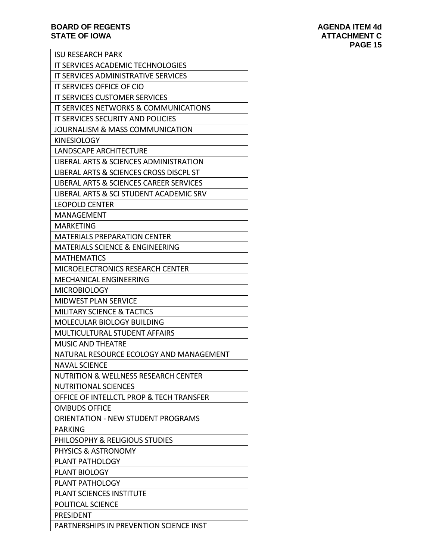| <b>ISU RESEARCH PARK</b>                        |
|-------------------------------------------------|
| IT SERVICES ACADEMIC TECHNOLOGIES               |
| IT SERVICES ADMINISTRATIVE SERVICES             |
| IT SERVICES OFFICE OF CIO                       |
| <b>IT SERVICES CUSTOMER SERVICES</b>            |
| IT SERVICES NETWORKS & COMMUNICATIONS           |
| IT SERVICES SECURITY AND POLICIES               |
| JOURNALISM & MASS COMMUNICATION                 |
| <b>KINESIOLOGY</b>                              |
| LANDSCAPE ARCHITECTURE                          |
| LIBERAL ARTS & SCIENCES ADMINISTRATION          |
| LIBERAL ARTS & SCIENCES CROSS DISCPL ST         |
| LIBERAL ARTS & SCIENCES CAREER SERVICES         |
| LIBERAL ARTS & SCI STUDENT ACADEMIC SRV         |
| <b>LEOPOLD CENTER</b>                           |
| <b>MANAGEMENT</b>                               |
| <b>MARKETING</b>                                |
| <b>MATERIALS PREPARATION CENTER</b>             |
| <b>MATERIALS SCIENCE &amp; ENGINEERING</b>      |
| <b>MATHEMATICS</b>                              |
| <b>MICROELECTRONICS RESEARCH CENTER</b>         |
| <b>MECHANICAL ENGINEERING</b>                   |
| <b>MICROBIOLOGY</b>                             |
| <b>MIDWEST PLAN SERVICE</b>                     |
| <b>MILITARY SCIENCE &amp; TACTICS</b>           |
| <b>MOLECULAR BIOLOGY BUILDING</b>               |
| MULTICULTURAL STUDENT AFFAIRS                   |
| <b>MUSIC AND THEATRE</b>                        |
| NATURAL RESOURCE ECOLOGY AND MANAGEMENT         |
| <b>NAVAL SCIENCE</b>                            |
| <b>NUTRITION &amp; WELLNESS RESEARCH CENTER</b> |
| <b>NUTRITIONAL SCIENCES</b>                     |
| OFFICE OF INTELLCTL PROP & TECH TRANSFER        |
| <b>OMBUDS OFFICE</b>                            |
| <b>ORIENTATION - NEW STUDENT PROGRAMS</b>       |
| <b>PARKING</b>                                  |
| PHILOSOPHY & RELIGIOUS STUDIES                  |
| PHYSICS & ASTRONOMY                             |
| PLANT PATHOLOGY                                 |
| PLANT BIOLOGY                                   |
| <b>PLANT PATHOLOGY</b>                          |
| PLANT SCIENCES INSTITUTE                        |
| POLITICAL SCIENCE                               |
| <b>PRESIDENT</b>                                |
| PARTNERSHIPS IN PREVENTION SCIENCE INST         |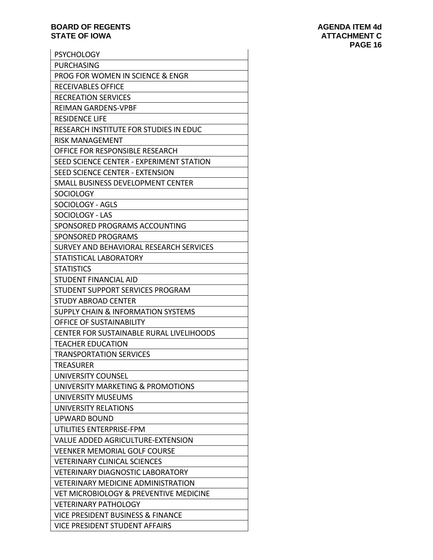| <b>PSYCHOLOGY</b>                               |
|-------------------------------------------------|
| <b>PURCHASING</b>                               |
| PROG FOR WOMEN IN SCIENCE & ENGR                |
| <b>RECEIVABLES OFFICE</b>                       |
| <b>RECREATION SERVICES</b>                      |
| <b>REIMAN GARDENS-VPBF</b>                      |
| <b>RESIDENCE LIFE</b>                           |
| RESEARCH INSTITUTE FOR STUDIES IN EDUC          |
| RISK MANAGEMENT                                 |
| OFFICE FOR RESPONSIBLE RESEARCH                 |
| SEED SCIENCE CENTER - EXPERIMENT STATION        |
| SEED SCIENCE CENTER - EXTENSION                 |
| SMALL BUSINESS DEVELOPMENT CENTER               |
| <b>SOCIOLOGY</b>                                |
| SOCIOLOGY - AGLS                                |
| SOCIOLOGY - LAS                                 |
| SPONSORED PROGRAMS ACCOUNTING                   |
| SPONSORED PROGRAMS                              |
| SURVEY AND BEHAVIORAL RESEARCH SERVICES         |
| STATISTICAL LABORATORY                          |
| <b>STATISTICS</b>                               |
| <b>STUDENT FINANCIAL AID</b>                    |
| STUDENT SUPPORT SERVICES PROGRAM                |
| STUDY ABROAD CENTER                             |
| <b>SUPPLY CHAIN &amp; INFORMATION SYSTEMS</b>   |
| <b>OFFICE OF SUSTAINABILITY</b>                 |
| <b>CENTER FOR SUSTAINABLE RURAL LIVELIHOODS</b> |
| <b>TEACHER EDUCATION</b>                        |
| <b>TRANSPORTATION SERVICES</b>                  |
| TREASURER                                       |
| UNIVERSITY COUNSEL                              |
| UNIVERSITY MARKETING & PROMOTIONS               |
| UNIVERSITY MUSEUMS                              |
| UNIVERSITY RELATIONS                            |
| <b>UPWARD BOUND</b>                             |
| UTILITIES ENTERPRISE-FPM                        |
| VALUE ADDED AGRICULTURE-EXTENSION               |
| <b>VEENKER MEMORIAL GOLF COURSE</b>             |
| <b>VETERINARY CLINICAL SCIENCES</b>             |
| <b>VETERINARY DIAGNOSTIC LABORATORY</b>         |
| <b>VETERINARY MEDICINE ADMINISTRATION</b>       |
| VET MICROBIOLOGY & PREVENTIVE MEDICINE          |
| <b>VETERINARY PATHOLOGY</b>                     |
| VICE PRESIDENT BUSINESS & FINANCE               |
| <b>VICE PRESIDENT STUDENT AFFAIRS</b>           |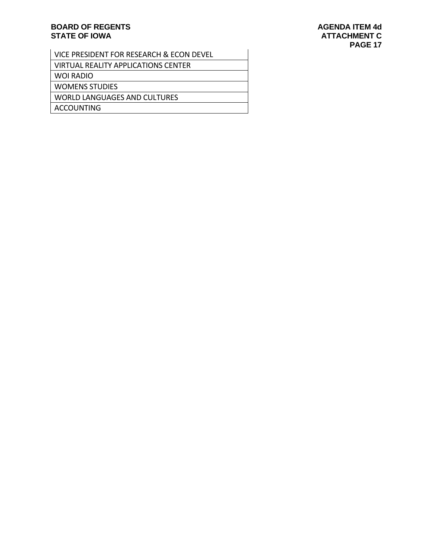| VICE PRESIDENT FOR RESEARCH & ECON DEVEL   |
|--------------------------------------------|
| <b>VIRTUAL REALITY APPLICATIONS CENTER</b> |
| WOI RADIO                                  |
| <b>WOMENS STUDIES</b>                      |
| <b>WORLD LANGUAGES AND CULTURES</b>        |
| <b>ACCOUNTING</b>                          |
|                                            |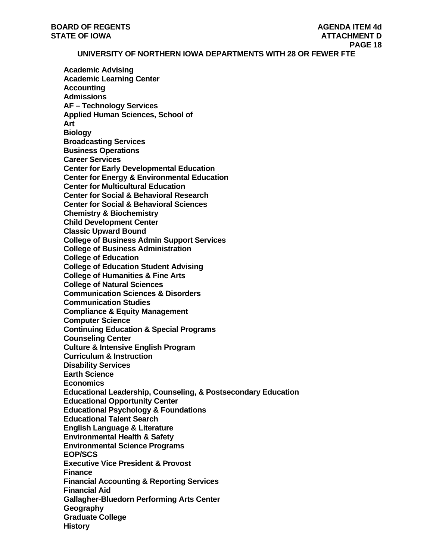**UNIVERSITY OF NORTHERN IOWA DEPARTMENTS WITH 28 OR FEWER FTE** 

**Academic Advising Academic Learning Center Accounting Admissions AF – Technology Services Applied Human Sciences, School of Art Biology Broadcasting Services Business Operations Career Services Center for Early Developmental Education Center for Energy & Environmental Education Center for Multicultural Education Center for Social & Behavioral Research Center for Social & Behavioral Sciences Chemistry & Biochemistry Child Development Center Classic Upward Bound College of Business Admin Support Services College of Business Administration College of Education College of Education Student Advising College of Humanities & Fine Arts College of Natural Sciences Communication Sciences & Disorders Communication Studies Compliance & Equity Management Computer Science Continuing Education & Special Programs Counseling Center Culture & Intensive English Program Curriculum & Instruction Disability Services Earth Science Economics Educational Leadership, Counseling, & Postsecondary Education Educational Opportunity Center Educational Psychology & Foundations Educational Talent Search English Language & Literature Environmental Health & Safety Environmental Science Programs EOP/SCS Executive Vice President & Provost Finance Financial Accounting & Reporting Services Financial Aid Gallagher-Bluedorn Performing Arts Center Geography Graduate College History**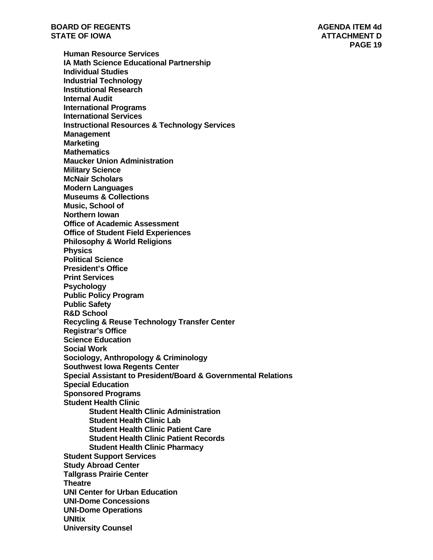**PAGE 19** 

**Human Resource Services IA Math Science Educational Partnership Individual Studies Industrial Technology Institutional Research Internal Audit International Programs International Services Instructional Resources & Technology Services Management Marketing Mathematics Maucker Union Administration Military Science McNair Scholars Modern Languages Museums & Collections Music, School of Northern Iowan Office of Academic Assessment Office of Student Field Experiences Philosophy & World Religions Physics Political Science President's Office Print Services Psychology Public Policy Program Public Safety R&D School Recycling & Reuse Technology Transfer Center Registrar's Office Science Education Social Work Sociology, Anthropology & Criminology Southwest Iowa Regents Center Special Assistant to President/Board & Governmental Relations Special Education Sponsored Programs Student Health Clinic Student Health Clinic Administration Student Health Clinic Lab Student Health Clinic Patient Care Student Health Clinic Patient Records Student Health Clinic Pharmacy Student Support Services Study Abroad Center Tallgrass Prairie Center Theatre UNI Center for Urban Education UNI-Dome Concessions UNI-Dome Operations UNItix University Counsel**